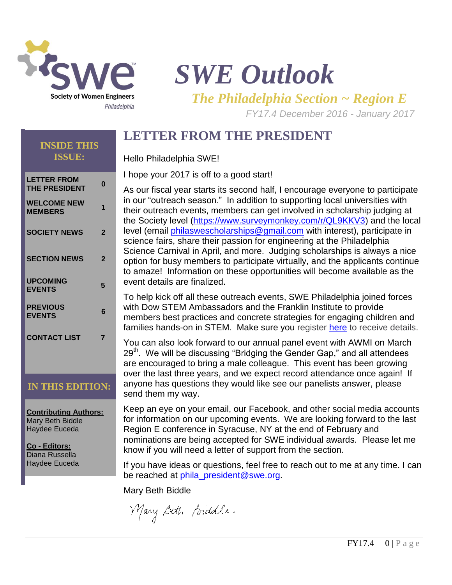

# *SWE Outlook*

*The Philadelphia Section ~ Region E*

*FY17.4 December 2016 - January 2017* 

# **LETTER FROM THE PRESIDENT**

#### Hello Philadelphia SWE!

I hope your 2017 is off to a good start!

As our fiscal year starts its second half, I encourage everyone to participate in our "outreach season." In addition to supporting local universities with their outreach events, members can get involved in scholarship judging at the Society level [\(https://www.surveymonkey.com/r/QL9KKV3\)](https://www.surveymonkey.com/r/QL9KKV3) and the local level (email [philaswescholarships@gmail.com](mailto:philaswescholarships@gmail.com) with interest), participate in science fairs, share their passion for engineering at the Philadelphia Science Carnival in April, and more. Judging scholarships is always a nice option for busy members to participate virtually, and the applicants continue to amaze! Information on these opportunities will become available as the event details are finalized.

To help kick off all these outreach events, SWE Philadelphia joined forces with Dow STEM Ambassadors and the Franklin Institute to provide members best practices and concrete strategies for engaging children and families hands-on in STEM. Make sure you register [here](http://r20.rs6.net/tn.jsp?f=001-lgdQUZxknN2zCbWFIOTq-T4nVEiJmWvH794pj13FPZXH1MIdNQPC_cn-yTpOESlp-Mx9-PaXHpnrbnUg5tlvfGyr8OPs7dWOrWgJzSJEc6NzOrVwuBR_adniuR1XijdQBP8hWJlUswvXdi4c-SCP5WSS2Vc2pGPs0AsR01wDi4=&c=618lyO4geKT3OaDoO2kc1IF540AbHSxD1SC4aZYaJo4CeQ6IfsTemA==&ch=4Y8ve4UEZsjn1WlXoIpNjF3zRfpogQC5pZy-150fQkAwlQjkWzbquA==) to receive details.

You can also look forward to our annual panel event with AWMI on March 29<sup>th</sup>. We will be discussing "Bridging the Gender Gap," and all attendees are encouraged to bring a male colleague. This event has been growing over the last three years, and we expect record attendance once again! If anyone has questions they would like see our panelists answer, please send them my way.

Keep an eye on your email, our Facebook, and other social media accounts for information on our upcoming events. We are looking forward to the last Region E conference in Syracuse, NY at the end of February and nominations are being accepted for SWE individual awards. Please let me know if you will need a letter of support from the section.

If you have ideas or questions, feel free to reach out to me at any time. I can be reached at phila\_president@swe.org.

Mary Beth Biddle

Mary Beth Biddle

#### **INSIDE THIS ISSUE:**

| <b>LETTER FROM</b><br><b>THE PRESIDENT</b> | N |
|--------------------------------------------|---|
| <b>WELCOME NEW</b><br><b>MEMBERS</b>       | 1 |
| <b>SOCIETY NEWS</b>                        | 2 |
| <b>SECTION NEWS</b>                        | 2 |
| <b>UPCOMING</b><br><b>EVENTS</b>           | 5 |
| <b>PREVIOUS</b><br><b>EVENTS</b>           | 6 |
| <b>CONTACT LIST</b>                        | 7 |
|                                            |   |

# **IN THIS EDITION:**

**Contributing Authors:** Mary Beth Biddle Haydee Euceda

**Co - Editors:** Diana Russella Haydee Euceda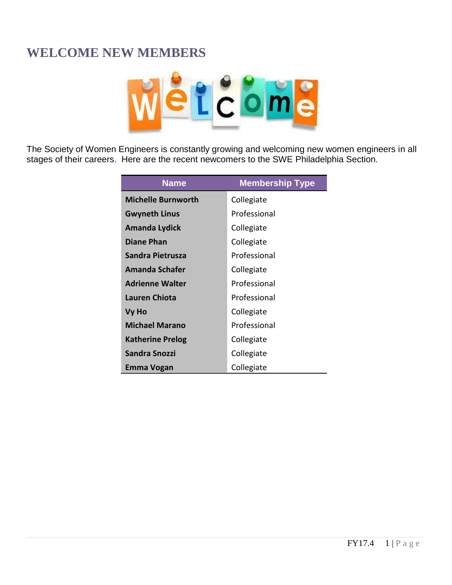# **WELCOME NEW MEMBERS**



The Society of Women Engineers is constantly growing and welcoming new women engineers in all stages of their careers. Here are the recent newcomers to the SWE Philadelphia Section.

| <b>Name</b>               | <b>Membership Type</b> |
|---------------------------|------------------------|
| <b>Michelle Burnworth</b> | Collegiate             |
| <b>Gwyneth Linus</b>      | Professional           |
| Amanda Lydick             | Collegiate             |
| <b>Diane Phan</b>         | Collegiate             |
| Sandra Pietrusza          | Professional           |
| Amanda Schafer            | Collegiate             |
| <b>Adrienne Walter</b>    | Professional           |
| <b>Lauren Chiota</b>      | Professional           |
| Vy Ho                     | Collegiate             |
| <b>Michael Marano</b>     | Professional           |
| <b>Katherine Prelog</b>   | Collegiate             |
| <b>Sandra Snozzi</b>      | Collegiate             |
| Emma Vogan                | Collegiate             |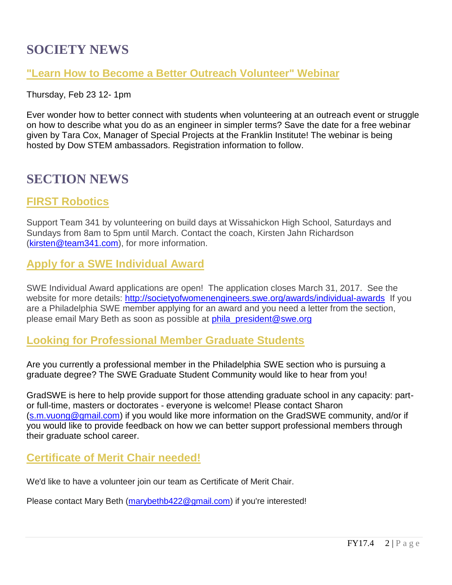# **SOCIETY NEWS**

### **"Learn How to Become a Better Outreach Volunteer" Webinar**

#### Thursday, Feb 23 12- 1pm

Ever wonder how to better connect with students when volunteering at an outreach event or struggle on how to describe what you do as an engineer in simpler terms? Save the date for a free webinar given by Tara Cox, Manager of Special Projects at the Franklin Institute! The webinar is being hosted by Dow STEM ambassadors. Registration information to follow.

# **SECTION NEWS**

# **FIRST Robotics**

Support Team 341 by volunteering on build days at Wissahickon High School, Saturdays and Sundays from 8am to 5pm until March. Contact the coach, Kirsten Jahn Richardson [\(kirsten@team341.com\)](mailto:kirsten@team341.com), for more information.

# **Apply for a SWE Individual Award**

SWE Individual Award applications are open! The application closes March 31, 2017. See the website for more details: [http://societyofwomenengineers.swe.org/awards/individual-awards](http://r20.rs6.net/tn.jsp?f=001hqtj_ZWY8wiZZVdarIJeTsSzlIa4s4JRkFuwK8z7b-VmUZ1dC8RUbi_k4TIobC3xuiffEr6_jWV2rf2tXQbj0CEwqQ_MVudb95ZrzZv0Ya2X9ldgp-c0ZlqRs7TO2tJ9HNBpj2VBBwFQ1jfKrb4Xtzh0g0C84kEIbfm9gtK8ghbO_1PqNCe4FDczyzfglDDYy2ofF0aodrc=&c=E4AU8ySQPpoIgniPjDGBGUkHdDTKMq2nlbtGZggrr7Hv_3SLsIrVlw==&ch=p1fRv4DdivOCV7Nfgs9pkGkdUEYi7KYYZaolWAkAPWXWAIpMD5n6FA==) If you are a Philadelphia SWE member applying for an award and you need a letter from the section, please email Mary Beth as soon as possible at phila president@swe.org

### **Looking for Professional Member Graduate Students**

Are you currently a professional member in the Philadelphia SWE section who is pursuing a graduate degree? The SWE Graduate Student Community would like to hear from you!

GradSWE is here to help provide support for those attending graduate school in any capacity: partor full-time, masters or doctorates - everyone is welcome! Please contact Sharon [\(s.m.vuong@gmail.com\)](mailto:s.m.vuong@gmail.com) if you would like more information on the GradSWE community, and/or if you would like to provide feedback on how we can better support professional members through their graduate school career.

# **Certificate of Merit Chair needed!**

We'd like to have a volunteer join our team as Certificate of Merit Chair.

Please contact Mary Beth [\(marybethb422@gmail.com\)](mailto:marybethb422@gmail.com) if you're interested!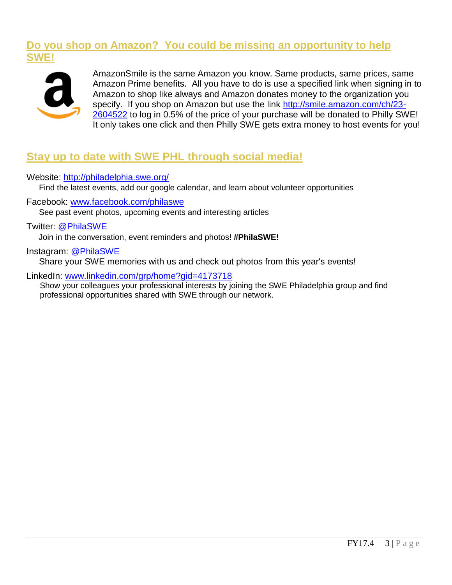### **Do you shop on Amazon? You could be missing an opportunity to help SWE!**



AmazonSmile is the same Amazon you know. Same products, same prices, same Amazon Prime benefits. All you have to do is use a specified link when signing in to Amazon to shop like always and Amazon donates money to the organization you specify. If you shop on Amazon but use the link [http://smile.amazon.com/ch/23-](http://smile.amazon.com/ch/23-2604522) [2604522](http://smile.amazon.com/ch/23-2604522) to log in 0.5% of the price of your purchase will be donated to Philly SWE! It only takes one click and then Philly SWE gets extra money to host events for you!

# **Stay up to date with SWE PHL through social media!**

#### Website: <http://philadelphia.swe.org/>

Find the latest events, add our google calendar, and learn about volunteer opportunities

Facebook: [www.facebook.com/philaswe](http://www.facebook.com/philaswe)

See past event photos, upcoming events and interesting articles

#### Twitter: @PhilaSWE

Join in the conversation, event reminders and photos! **#PhilaSWE!**

#### Instagram: @PhilaSWE

Share your SWE memories with us and check out photos from this year's events!

#### LinkedIn: [www.linkedin.com/grp/home?gid=4173718](http://www.linkedin.com/grp/home?gid=4173718)

Show your colleagues your professional interests by joining the SWE Philadelphia group and find professional opportunities shared with SWE through our network.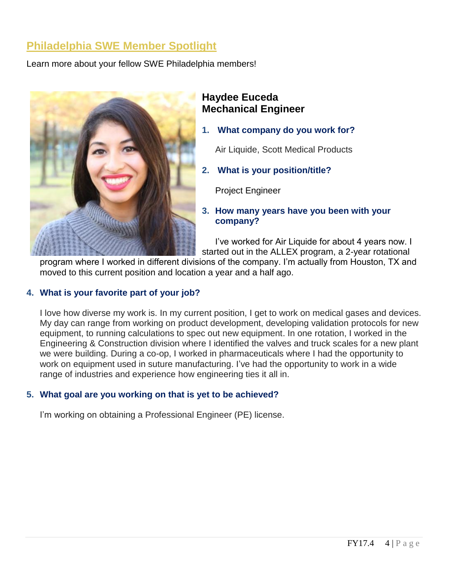# **Philadelphia SWE Member Spotlight**

Learn more about your fellow SWE Philadelphia members!



### **Haydee Euceda Mechanical Engineer**

- **1. What company do you work for?**
	- Air Liquide, Scott Medical Products
- **2. What is your position/title?**

Project Engineer

**3. How many years have you been with your company?**

I've worked for Air Liquide for about 4 years now. I started out in the ALLEX program, a 2-year rotational

program where I worked in different divisions of the company. I'm actually from Houston, TX and moved to this current position and location a year and a half ago.

#### **4. What is your favorite part of your job?**

I love how diverse my work is. In my current position, I get to work on medical gases and devices. My day can range from working on product development, developing validation protocols for new equipment, to running calculations to spec out new equipment. In one rotation, I worked in the Engineering & Construction division where I identified the valves and truck scales for a new plant we were building. During a co-op, I worked in pharmaceuticals where I had the opportunity to work on equipment used in suture manufacturing. I've had the opportunity to work in a wide range of industries and experience how engineering ties it all in.

#### **5. What goal are you working on that is yet to be achieved?**

I'm working on obtaining a Professional Engineer (PE) license.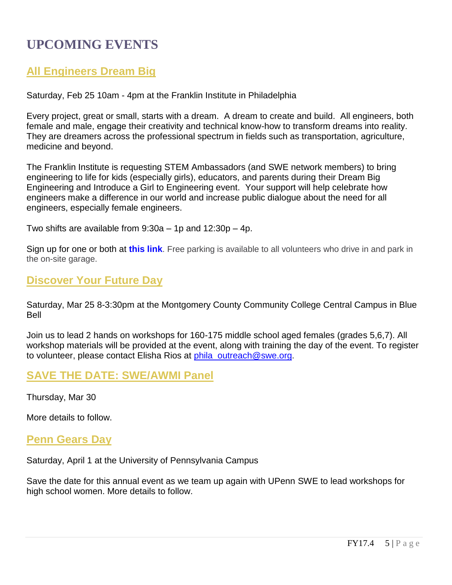# **UPCOMING EVENTS**

# **All Engineers Dream Big**

Saturday, Feb 25 10am - 4pm at the Franklin Institute in Philadelphia

Every project, great or small, starts with a dream. A dream to create and build. All engineers, both female and male, engage their creativity and technical know-how to transform dreams into reality. They are dreamers across the professional spectrum in fields such as transportation, agriculture, medicine and beyond.

The Franklin Institute is requesting STEM Ambassadors (and SWE network members) to bring engineering to life for kids (especially girls), educators, and parents during their Dream Big Engineering and Introduce a Girl to Engineering event. Your support will help celebrate how engineers make a difference in our world and increase public dialogue about the need for all engineers, especially female engineers.

Two shifts are available from  $9:30a - 1p$  and  $12:30p - 4p$ .

Sign up for one or both at **[this link](http://r20.rs6.net/tn.jsp?f=0017KTctcsDsstjss1nNQTNDUIMjkBLOIhPmAle9hySAr2HKLsfZIvyEKzPh4YCAoHjsRpF-EiRkzLxLLTWNHLVxz3zcMxo7jgplalPGAilOMjuoWgAhUzvg1Tbv5okoTz0-W6Wb1v59-RUoVLBv5hXRILxBrtwnlX4-0_qtkjLspitRTy3uSA5tpF22yTUK39rPoROdewOuwc=&c=YmiPoEku2VMisewImkHQtUZUDqqlkLzRS3Jm8nWBt3thww7t8SYyog==&ch=a8l3vjmJeefB8cbBDN6C8t45FYp1new8dHrLKVBAW3OAjuIRHInBhw==)**. Free parking is available to all volunteers who drive in and park in the on-site garage.

### **Discover Your Future Day**

Saturday, Mar 25 8-3:30pm at the Montgomery County Community College Central Campus in Blue Bell

Join us to lead 2 hands on workshops for 160-175 middle school aged females (grades 5,6,7). All workshop materials will be provided at the event, along with training the day of the event. To register to volunteer, please contact Elisha Rios at [phila\\_outreach@swe.org](mailto:phila_outreach@swe.org).

### **SAVE THE DATE: SWE/AWMI Panel**

Thursday, Mar 30

More details to follow.

### **Penn Gears Day**

Saturday, April 1 at the University of Pennsylvania Campus

Save the date for this annual event as we team up again with UPenn SWE to lead workshops for high school women. More details to follow.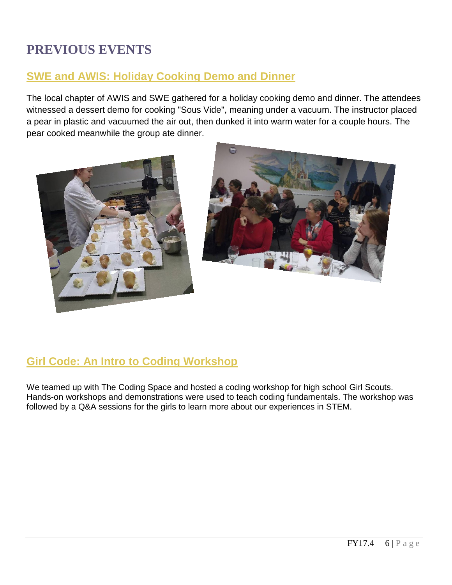# **PREVIOUS EVENTS**

# **SWE and AWIS: [Holiday Cooking Demo and Dinner](https://www.facebook.com/events/837486229727922/?ref=1&action_history=%5B%7B%22surface%22%3A%22permalink%22%2C%22mechanism%22%3A%22surface%22%2C%22extra_data%22%3A%5B%5D%7D%5D)**

The local chapter of AWIS and SWE gathered for a holiday cooking demo and dinner. The attendees witnessed a dessert demo for cooking "Sous Vide", meaning under a vacuum. The instructor placed a pear in plastic and vacuumed the air out, then dunked it into warm water for a couple hours. The pear cooked meanwhile the group ate dinner.





# **[Girl](https://www.facebook.com/events/837486229727922/?ref=1&action_history=%5B%7B%22surface%22%3A%22permalink%22%2C%22mechanism%22%3A%22surface%22%2C%22extra_data%22%3A%5B%5D%7D%5D) Code: An Intro to Coding Workshop**

We teamed up with The Coding Space and hosted a coding workshop for high school Girl Scouts. Hands-on workshops and demonstrations were used to teach coding fundamentals. The workshop was followed by a Q&A sessions for the girls to learn more about our experiences in STEM.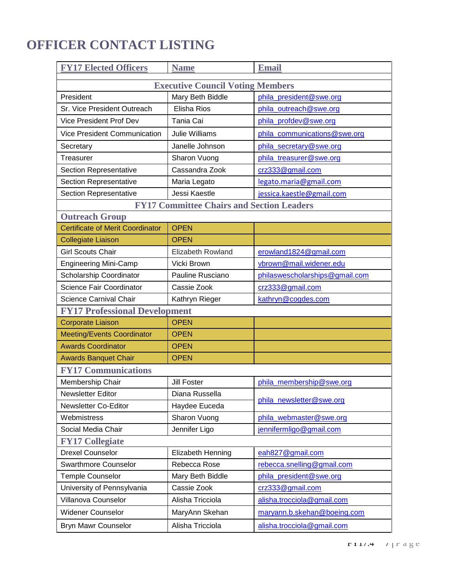# **OFFICER CONTACT LISTING**

| <b>FY17 Elected Officers</b>                     | <b>Name</b>              | <b>Email</b>                   |  |
|--------------------------------------------------|--------------------------|--------------------------------|--|
| <b>Executive Council Voting Members</b>          |                          |                                |  |
| President                                        | Mary Beth Biddle         | phila_president@swe.org        |  |
| Sr. Vice President Outreach                      | <b>Elisha Rios</b>       | phila_outreach@swe.org         |  |
| <b>Vice President Prof Dev</b>                   | Tania Cai                | phila_profdev@swe.org          |  |
| <b>Vice President Communication</b>              | Julie Williams           | phila_communications@swe.org   |  |
| Secretary                                        | Janelle Johnson          | phila_secretary@swe.org        |  |
| Treasurer                                        | Sharon Vuong             | phila_treasurer@swe.org        |  |
| <b>Section Representative</b>                    | Cassandra Zook           | crz333@gmail.com               |  |
| <b>Section Representative</b>                    | Maria Legato             | legato.maria@gmail.com         |  |
| Section Representative                           | Jessi Kaestle            | jessica.kaestle@gmail.com      |  |
| <b>FY17 Committee Chairs and Section Leaders</b> |                          |                                |  |
| <b>Outreach Group</b>                            |                          |                                |  |
| <b>Certificate of Merit Coordinator</b>          | <b>OPEN</b>              |                                |  |
| <b>Collegiate Liaison</b>                        | <b>OPEN</b>              |                                |  |
| <b>Girl Scouts Chair</b>                         | <b>Elizabeth Rowland</b> | erowland1824@gmail.com         |  |
| <b>Engineering Mini-Camp</b>                     | Vicki Brown              | vbrown@mail.widener.edu        |  |
| Scholarship Coordinator                          | Pauline Rusciano         | philaswescholarships@gmail.com |  |
| Science Fair Coordinator                         | Cassie Zook              | crz333@gmail.com               |  |
| Science Carnival Chair                           | Kathryn Rieger           | kathryn@cogdes.com             |  |
| <b>FY17 Professional Development</b>             |                          |                                |  |
| <b>Corporate Liaison</b>                         | <b>OPEN</b>              |                                |  |
| <b>Meeting/Events Coordinator</b>                | <b>OPEN</b>              |                                |  |
| <b>Awards Coordinator</b>                        | <b>OPEN</b>              |                                |  |
| <b>Awards Banquet Chair</b>                      | <b>OPEN</b>              |                                |  |
| <b>FY17 Communications</b>                       |                          |                                |  |
| Membership Chair                                 | <b>Jill Foster</b>       | phila_membership@swe.org       |  |
| Newsletter Editor                                | Diana Russella           | phila_newsletter@swe.org       |  |
| Newsletter Co-Editor                             | Haydee Euceda            |                                |  |
| Webmistress                                      | Sharon Vuong             | phila_webmaster@swe.org        |  |
| Social Media Chair                               | Jennifer Ligo            | jennifermligo@gmail.com        |  |
| <b>FY17 Collegiate</b>                           |                          |                                |  |
| <b>Drexel Counselor</b>                          | Elizabeth Henning        | eah827@gmail.com               |  |
| <b>Swarthmore Counselor</b>                      | Rebecca Rose             | rebecca.snelling@gmail.com     |  |
| Temple Counselor                                 | Mary Beth Biddle         | phila_president@swe.org        |  |
| University of Pennsylvania                       | Cassie Zook              | crz333@gmail.com               |  |
| Villanova Counselor                              | Alisha Tricciola         | alisha.trocciola@gmail.com     |  |
| <b>Widener Counselor</b>                         | MaryAnn Skehan           | maryann.b.skehan@boeing.com    |  |
| Bryn Mawr Counselor                              | Alisha Tricciola         | alisha.trocciola@gmail.com     |  |